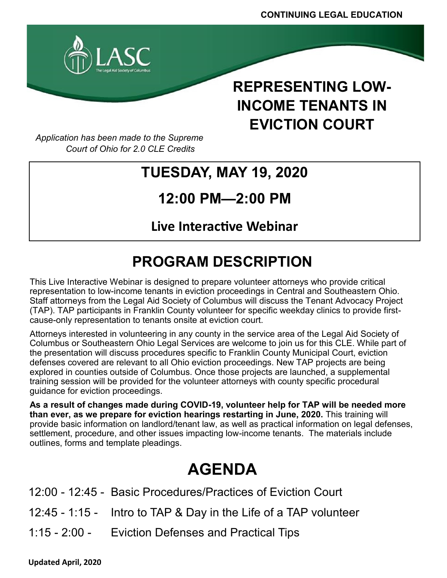

## **REPRESENTING LOW-INCOME TENANTS IN EVICTION COURT**

*Application has been made to the Supreme Court of Ohio for 2.0 CLE Credits*

### **TUESDAY, MAY 19, 2020**

#### **12:00 PM—2:00 PM**

#### **Live Interactive Webinar**

## **PROGRAM DESCRIPTION**

This Live Interactive Webinar is designed to prepare volunteer attorneys who provide critical representation to low-income tenants in eviction proceedings in Central and Southeastern Ohio. Staff attorneys from the Legal Aid Society of Columbus will discuss the Tenant Advocacy Project (TAP). TAP participants in Franklin County volunteer for specific weekday clinics to provide firstcause-only representation to tenants onsite at eviction court.

Attorneys interested in volunteering in any county in the service area of the Legal Aid Society of Columbus or Southeastern Ohio Legal Services are welcome to join us for this CLE. While part of the presentation will discuss procedures specific to Franklin County Municipal Court, eviction defenses covered are relevant to all Ohio eviction proceedings. New TAP projects are being explored in counties outside of Columbus. Once those projects are launched, a supplemental training session will be provided for the volunteer attorneys with county specific procedural guidance for eviction proceedings.

**As a result of changes made during COVID-19, volunteer help for TAP will be needed more than ever, as we prepare for eviction hearings restarting in June, 2020.** This training will provide basic information on landlord/tenant law, as well as practical information on legal defenses, settlement, procedure, and other issues impacting low-income tenants. The materials include outlines, forms and template pleadings.

# **AGENDA**

- 12:00 12:45 Basic Procedures/Practices of Eviction Court
- 12:45 1:15 Intro to TAP & Day in the Life of a TAP volunteer
- 1:15 2:00 Eviction Defenses and Practical Tips

**Updated April, 2020**